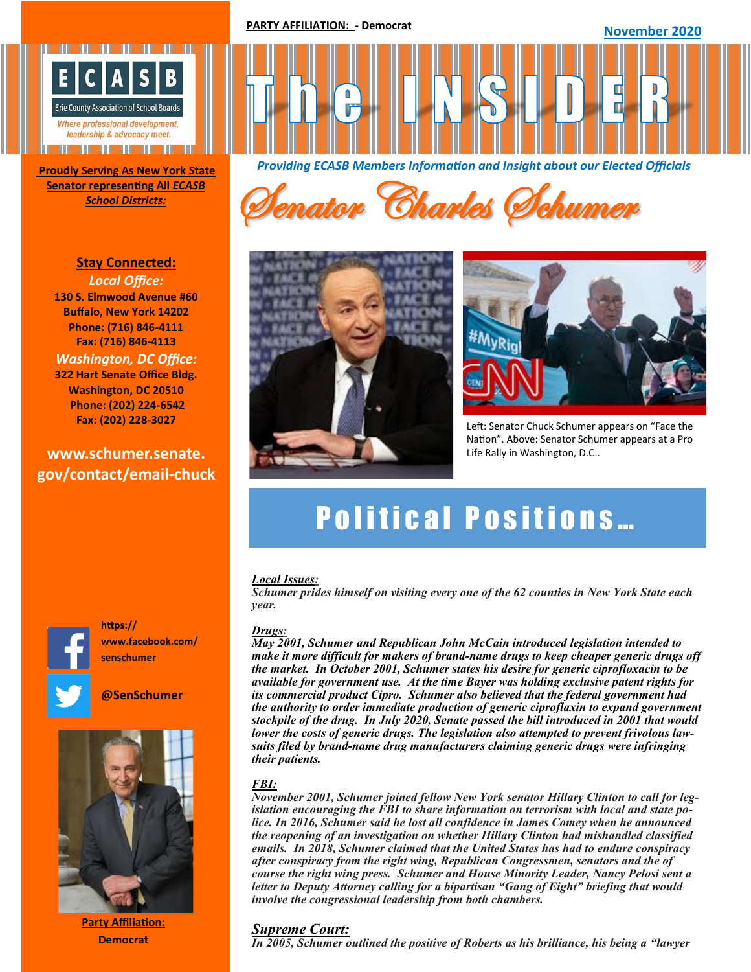**PARTY AFFILIATION: - Democrat**

**November 2020** 



**Senator representing All** *ECASB* 

**Stay Connected:**  *Local Office:* **130 S. Elmwood Avenue #60 Buffalo, New York 14202 Phone: (716) 846-4111 Fax: (716) 846-4113** *Washington, DC Office:* **322 Hart Senate Office Bldg. Washington, DC 20510 Phone: (202) 224-6542 Fax: (202) 228-3027**

# **www.schumer.senate. gov/contact/email-chuck**



*Providing ECASB Members Information and Insight about our Elected Officials* **Proudly Serving As New York State** 







Left: Senator Chuck Schumer appears on "Face the Nation". Above: Senator Schumer appears at a Pro Life Rally in Washington, D.C..

# **Political Positions...**

### *Local Issues:*

*Schumer prides himself on visiting every one of the 62 counties in New York State each year.*

#### *Drugs:*

*May 2001, Schumer and Republican John McCain introduced legislation intended to make it more difficult for makers of brand-name drugs to keep cheaper generic drugs off the market. In October 2001, Schumer states his desire for generic ciprofloxacin to be available for government use. At the time Bayer was holding exclusive patent rights for its commercial product Cipro. Schumer also believed that the federal government had the authority to order immediate production of generic ciproflaxin to expand government stockpile of the drug. In July 2020, Senate passed the bill introduced in 2001 that would lower the costs of generic drugs. The legislation also attempted to prevent frivolous lawsuits filed by brand-name drug manufacturers claiming generic drugs were infringing their patients.* 

# *[FBI:](https://en.wikipedia.org/wiki/Patient_Protection_and_Affordable_Care_Act)*

*November 2001, Schumer joined fellow New York senator Hillary Clinton to call for legislation encouraging the FBI to share information on terrorism with local and state police. In 2016, Schumer said he lost all confidence in James Comey when he announced the reopening of an investigation on whether Hillary Clinton had mishandled classified emails. In 2018, Schumer claimed that the United States has had to endure conspiracy after conspiracy from the right wing, Republican Congressmen, senators and the of course the right wing press. Schumer and House Minority Leader, Nancy Pelosi sent a letter to Deputy Attorney calling for a bipartisan "Gang of Eight" briefing that would involve the congressional leadership from both chambers.* 

# *Supreme Court:*

*In 2005, Schumer outlined the positive of Roberts as his brilliance, his being a "lawyer"* 



**@SenSchumer**

**www.facebook.com/**

**https://**

**senschumer**



**Party Affiliation: Democrat**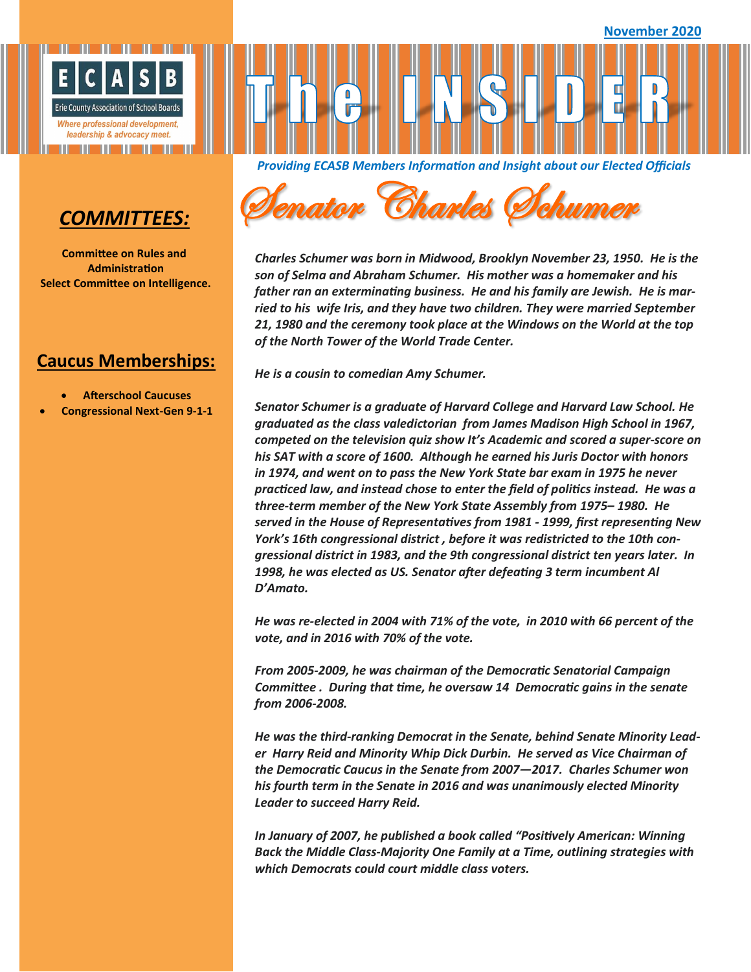

# *COMMITTEES:*

**Committee on Rules and Administration Select Committee on Intelligence.**

# **Caucus Memberships:**

- **Afterschool Caucuses**
- **Congressional Next-Gen 9-1-1**

*Providing ECASB Members Information and Insight about our Elected Officials* 



*Charles Schumer was born in Midwood, Brooklyn November 23, 1950. He is the son of Selma and Abraham Schumer. His mother was a homemaker and his father ran an exterminating business. He and his family are Jewish. He is married to his wife Iris, and they have two children. They were married September 21, 1980 and the ceremony took place at the Windows on the World at the top of the North Tower of the World Trade Center.* 

*He is a cousin to comedian Amy Schumer.* 

*Senator Schumer is a graduate of Harvard College and Harvard Law School. He graduated as the class valedictorian from James Madison High School in 1967, competed on the television quiz show It's Academic and scored a super-score on his SAT with a score of 1600. Although he earned his Juris Doctor with honors in 1974, and went on to pass the New York State bar exam in 1975 he never practiced law, and instead chose to enter the field of politics instead. He was a three-term member of the New York State Assembly from 1975– 1980. He served in the House of Representatives from 1981 - 1999, first representing New York's 16th congressional district , before it was redistricted to the 10th congressional district in 1983, and the 9th congressional district ten years later. In 1998, he was elected as US. Senator after defeating 3 term incumbent Al D'Amato.* 

*He was re-elected in 2004 with 71% of the vote, in 2010 with 66 percent of the vote, and in 2016 with 70% of the vote.* 

*From 2005-2009, he was chairman of the Democratic Senatorial Campaign Committee . During that time, he oversaw 14 Democratic gains in the senate from 2006-2008.* 

*He was the third-ranking Democrat in the Senate, behind Senate Minority Leader Harry Reid and Minority Whip Dick Durbin. He served as Vice Chairman of the Democratic Caucus in the Senate from 2007—2017. Charles Schumer won his fourth term in the Senate in 2016 and was unanimously elected Minority Leader to succeed Harry Reid.* 

*In January of 2007, he published a book called "Positively American: Winning Back the Middle Class-Majority One Family at a Time, outlining strategies with which Democrats could court middle class voters.*